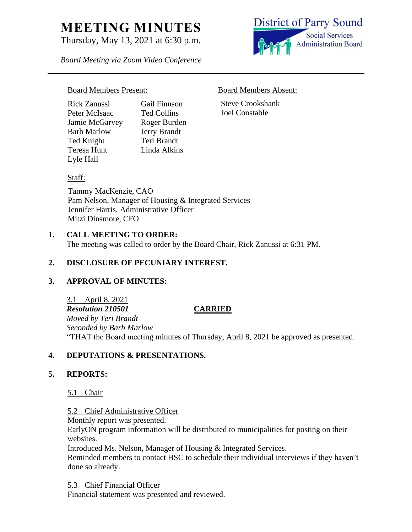# **MEETING MINUTES**

Thursday, May 13, 2021 at 6:30 p.m.

*Board Meeting via Zoom Video Conference*



Rick Zanussi Gail Finnson Peter McIsaac Ted Collins Jamie McGarvey Roger Burden Barb Marlow Jerry Brandt Ted Knight Teri Brandt Teresa Hunt Linda Alkins Lyle Hall

### Board Members Present: Board Members Absent:

Steve Crookshank Joel Constable

### Staff:

Tammy MacKenzie, CAO Pam Nelson, Manager of Housing & Integrated Services Jennifer Harris, Administrative Officer Mitzi Dinsmore, CFO

### **1. CALL MEETING TO ORDER:**

The meeting was called to order by the Board Chair, Rick Zanussi at 6:31 PM.

### **2. DISCLOSURE OF PECUNIARY INTEREST.**

### **3. APPROVAL OF MINUTES:**

3.1 April 8, 2021 *Resolution 210501* **CARRIED** *Moved by Teri Brandt Seconded by Barb Marlow* "THAT the Board meeting minutes of Thursday, April 8, 2021 be approved as presented.

### **4. DEPUTATIONS & PRESENTATIONS.**

### **5. REPORTS:**

5.1 Chair

5.2 Chief Administrative Officer

Monthly report was presented.

EarlyON program information will be distributed to municipalities for posting on their websites.

Introduced Ms. Nelson, Manager of Housing & Integrated Services.

Reminded members to contact HSC to schedule their individual interviews if they haven't done so already.

5.3 Chief Financial Officer

Financial statement was presented and reviewed.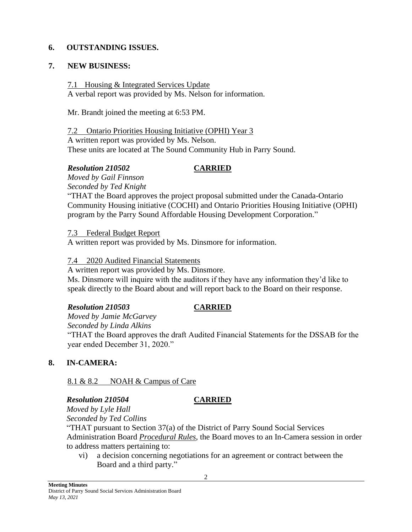## **6. OUTSTANDING ISSUES.**

# **7. NEW BUSINESS:**

## 7.1 Housing & Integrated Services Update

A verbal report was provided by Ms. Nelson for information.

Mr. Brandt joined the meeting at 6:53 PM.

## 7.2 Ontario Priorities Housing Initiative (OPHI) Year 3

A written report was provided by Ms. Nelson.

These units are located at The Sound Community Hub in Parry Sound.

# *Resolution 210502* **CARRIED**

*Moved by Gail Finnson Seconded by Ted Knight*

"THAT the Board approves the project proposal submitted under the Canada-Ontario Community Housing initiative (COCHI) and Ontario Priorities Housing Initiative (OPHI) program by the Parry Sound Affordable Housing Development Corporation."

7.3 Federal Budget Report

A written report was provided by Ms. Dinsmore for information.

# 7.4 2020 Audited Financial Statements

A written report was provided by Ms. Dinsmore.

Ms. Dinsmore will inquire with the auditors if they have any information they'd like to speak directly to the Board about and will report back to the Board on their response.

# *Resolution 210503* **CARRIED**

*Moved by Jamie McGarvey*

*Seconded by Linda Alkins*

"THAT the Board approves the draft Audited Financial Statements for the DSSAB for the year ended December 31, 2020."

# **8. IN-CAMERA:**

# 8.1 & 8.2 NOAH & Campus of Care

# *Resolution 210504* **CARRIED**

*Moved by Lyle Hall Seconded by Ted Collins*

"THAT pursuant to Section 37(a) of the District of Parry Sound Social Services Administration Board *Procedural Rules*, the Board moves to an In-Camera session in order to address matters pertaining to:

vi) a decision concerning negotiations for an agreement or contract between the Board and a third party."